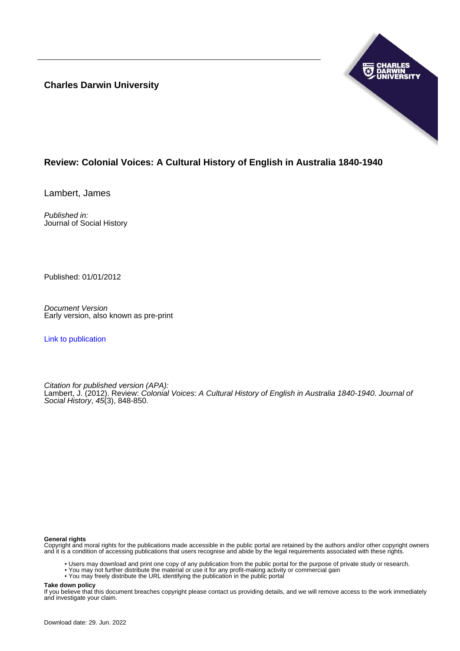**Charles Darwin University**



## **Review: Colonial Voices: A Cultural History of English in Australia 1840-1940**

Lambert, James

Published in: Journal of Social History

Published: 01/01/2012

Document Version Early version, also known as pre-print

[Link to publication](https://researchers.cdu.edu.au/en/publications/dc3215ce-bdcd-429b-9c13-4b5bcf7ee07e)

Citation for published version (APA): Lambert, J. (2012). Review: Colonial Voices: A Cultural History of English in Australia 1840-1940. Journal of Social History, 45(3), 848-850.

## **General rights**

Copyright and moral rights for the publications made accessible in the public portal are retained by the authors and/or other copyright owners and it is a condition of accessing publications that users recognise and abide by the legal requirements associated with these rights.

- Users may download and print one copy of any publication from the public portal for the purpose of private study or research.
- You may not further distribute the material or use it for any profit-making activity or commercial gain
- You may freely distribute the URL identifying the publication in the public portal

**Take down policy**

If you believe that this document breaches copyright please contact us providing details, and we will remove access to the work immediately and investigate your claim.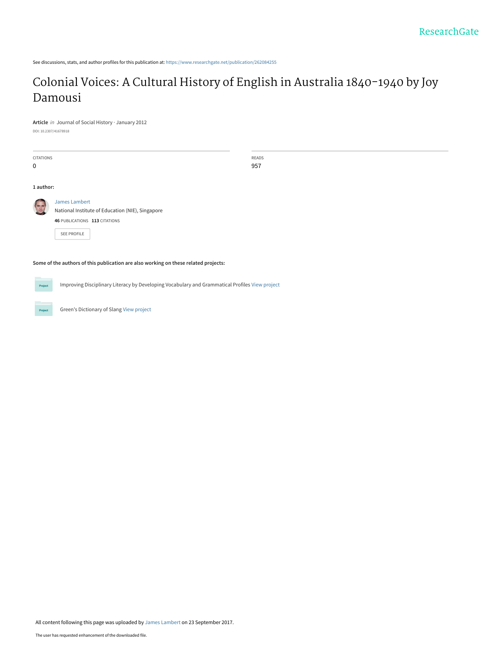See discussions, stats, and author profiles for this publication at: [https://www.researchgate.net/publication/262084255](https://www.researchgate.net/publication/262084255_Colonial_Voices_A_Cultural_History_of_English_in_Australia_1840-1940_by_Joy_Damousi?enrichId=rgreq-2c372ef01aafb9e9bd0cfb43eb471015-XXX&enrichSource=Y292ZXJQYWdlOzI2MjA4NDI1NTtBUzo1NDE1NjUwNDgxMTUyMDBAMTUwNjEzMDU3NzQ3Ng%3D%3D&el=1_x_2&_esc=publicationCoverPdf)

## [Colonial Voices: A Cultural History of English in Australia 1840-1940 by Joy](https://www.researchgate.net/publication/262084255_Colonial_Voices_A_Cultural_History_of_English_in_Australia_1840-1940_by_Joy_Damousi?enrichId=rgreq-2c372ef01aafb9e9bd0cfb43eb471015-XXX&enrichSource=Y292ZXJQYWdlOzI2MjA4NDI1NTtBUzo1NDE1NjUwNDgxMTUyMDBAMTUwNjEzMDU3NzQ3Ng%3D%3D&el=1_x_3&_esc=publicationCoverPdf) Damousi

**Article** in Journal of Social History · January 2012

DOI: 10.2307/41678918

| <b>CITATIONS</b><br>$\mathbf 0$                                                     |                                                                                                                   | READS<br>957 |
|-------------------------------------------------------------------------------------|-------------------------------------------------------------------------------------------------------------------|--------------|
| 1 author:                                                                           |                                                                                                                   |              |
|                                                                                     | James Lambert<br>National Institute of Education (NIE), Singapore<br>46 PUBLICATIONS 113 CITATIONS<br>SEE PROFILE |              |
| Some of the authors of this publication are also working on these related projects: |                                                                                                                   |              |

Improving Disciplinary Literacy by Developing Vocabulary and Grammatical Profiles [View project](https://www.researchgate.net/project/Improving-Disciplinary-Literacy-by-Developing-Vocabulary-and-Grammatical-Profiles-2?enrichId=rgreq-2c372ef01aafb9e9bd0cfb43eb471015-XXX&enrichSource=Y292ZXJQYWdlOzI2MjA4NDI1NTtBUzo1NDE1NjUwNDgxMTUyMDBAMTUwNjEzMDU3NzQ3Ng%3D%3D&el=1_x_9&_esc=publicationCoverPdf) Project

Green's Dictionary of Slang [View project](https://www.researchgate.net/project/Greens-Dictionary-of-Slang?enrichId=rgreq-2c372ef01aafb9e9bd0cfb43eb471015-XXX&enrichSource=Y292ZXJQYWdlOzI2MjA4NDI1NTtBUzo1NDE1NjUwNDgxMTUyMDBAMTUwNjEzMDU3NzQ3Ng%3D%3D&el=1_x_9&_esc=publicationCoverPdf) Project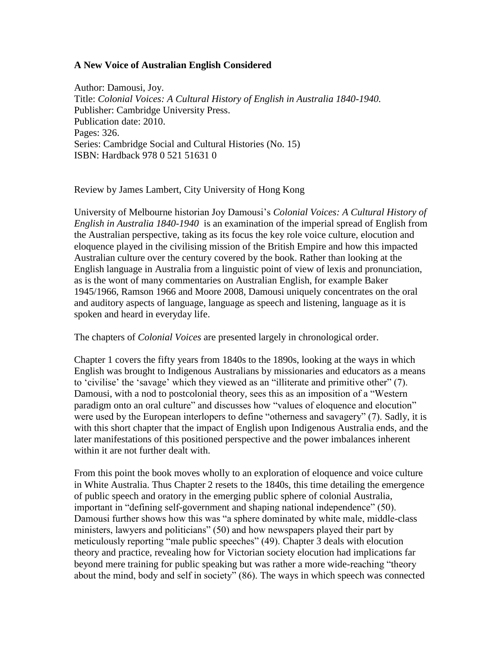## **A New Voice of Australian English Considered**

Author: Damousi, Joy. Title: *Colonial Voices: A Cultural History of English in Australia 1840-1940.* Publisher: Cambridge University Press. Publication date: 2010. Pages: 326. Series: Cambridge Social and Cultural Histories (No. 15) ISBN: Hardback 978 0 521 51631 0

Review by James Lambert, City University of Hong Kong

University of Melbourne historian Joy Damousi's *Colonial Voices: A Cultural History of English in Australia 1840-1940* is an examination of the imperial spread of English from the Australian perspective, taking as its focus the key role voice culture, elocution and eloquence played in the civilising mission of the British Empire and how this impacted Australian culture over the century covered by the book. Rather than looking at the English language in Australia from a linguistic point of view of lexis and pronunciation, as is the wont of many commentaries on Australian English, for example Baker 1945/1966, Ramson 1966 and Moore 2008, Damousi uniquely concentrates on the oral and auditory aspects of language, language as speech and listening, language as it is spoken and heard in everyday life.

The chapters of *Colonial Voices* are presented largely in chronological order.

Chapter 1 covers the fifty years from 1840s to the 1890s, looking at the ways in which English was brought to Indigenous Australians by missionaries and educators as a means to 'civilise' the 'savage' which they viewed as an "illiterate and primitive other" (7). Damousi, with a nod to postcolonial theory, sees this as an imposition of a "Western paradigm onto an oral culture" and discusses how "values of eloquence and elocution" were used by the European interlopers to define "otherness and savagery" (7). Sadly, it is with this short chapter that the impact of English upon Indigenous Australia ends, and the later manifestations of this positioned perspective and the power imbalances inherent within it are not further dealt with.

From this point the book moves wholly to an exploration of eloquence and voice culture in White Australia. Thus Chapter 2 resets to the 1840s, this time detailing the emergence of public speech and oratory in the emerging public sphere of colonial Australia, important in "defining self-government and shaping national independence" (50). Damousi further shows how this was "a sphere dominated by white male, middle-class ministers, lawyers and politicians" (50) and how newspapers played their part by meticulously reporting "male public speeches" (49). Chapter 3 deals with elocution theory and practice, revealing how for Victorian society elocution had implications far beyond mere training for public speaking but was rather a more wide-reaching "theory about the mind, body and self in society" (86). The ways in which speech was connected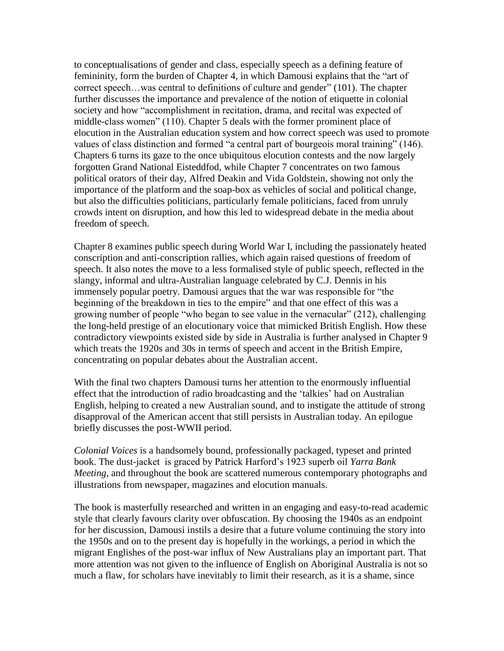to conceptualisations of gender and class, especially speech as a defining feature of femininity, form the burden of Chapter 4, in which Damousi explains that the "art of correct speech…was central to definitions of culture and gender" (101). The chapter further discusses the importance and prevalence of the notion of etiquette in colonial society and how "accomplishment in recitation, drama, and recital was expected of middle-class women" (110). Chapter 5 deals with the former prominent place of elocution in the Australian education system and how correct speech was used to promote values of class distinction and formed "a central part of bourgeois moral training" (146). Chapters 6 turns its gaze to the once ubiquitous elocution contests and the now largely forgotten Grand National Eisteddfod, while Chapter 7 concentrates on two famous political orators of their day, Alfred Deakin and Vida Goldstein, showing not only the importance of the platform and the soap-box as vehicles of social and political change, but also the difficulties politicians, particularly female politicians, faced from unruly crowds intent on disruption, and how this led to widespread debate in the media about freedom of speech.

Chapter 8 examines public speech during World War I, including the passionately heated conscription and anti-conscription rallies, which again raised questions of freedom of speech. It also notes the move to a less formalised style of public speech, reflected in the slangy, informal and ultra-Australian language celebrated by C.J. Dennis in his immensely popular poetry. Damousi argues that the war was responsible for "the beginning of the breakdown in ties to the empire" and that one effect of this was a growing number of people "who began to see value in the vernacular" (212), challenging the long-held prestige of an elocutionary voice that mimicked British English. How these contradictory viewpoints existed side by side in Australia is further analysed in Chapter 9 which treats the 1920s and 30s in terms of speech and accent in the British Empire, concentrating on popular debates about the Australian accent.

With the final two chapters Damousi turns her attention to the enormously influential effect that the introduction of radio broadcasting and the 'talkies' had on Australian English, helping to created a new Australian sound, and to instigate the attitude of strong disapproval of the American accent that still persists in Australian today. An epilogue briefly discusses the post-WWII period.

*Colonial Voices* is a handsomely bound, professionally packaged, typeset and printed book. The dust-jacket is graced by Patrick Harford's 1923 superb oil *Yarra Bank Meeting*, and throughout the book are scattered numerous contemporary photographs and illustrations from newspaper, magazines and elocution manuals.

The book is masterfully researched and written in an engaging and easy-to-read academic style that clearly favours clarity over obfuscation. By choosing the 1940s as an endpoint for her discussion, Damousi instils a desire that a future volume continuing the story into the 1950s and on to the present day is hopefully in the workings, a period in which the migrant Englishes of the post-war influx of New Australians play an important part. That more attention was not given to the influence of English on Aboriginal Australia is not so much a flaw, for scholars have inevitably to limit their research, as it is a shame, since